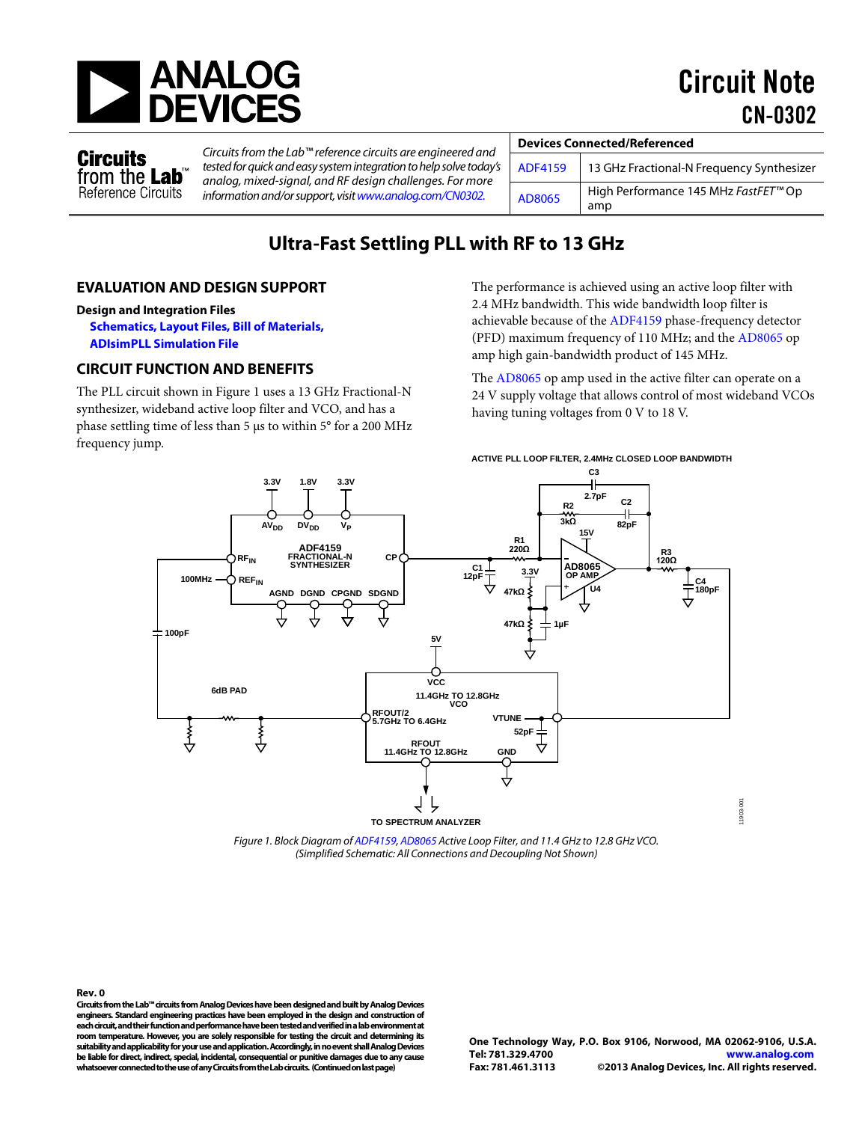

Circuit Note CN-0302

**Circuits** from the Lab Reference Circuits *Circuits from the Lab™ reference circuits are engineered and tested for quick and easy system integration to help solve today's analog, mixed-signal, and RF design challenges. For more information and/or support, visi[twww.analog.com/CN0302.](http://www.analog.com/CN0302?doc=CN0302.pdf)* 

| <b>Devices Connected/Referenced</b> |                                                         |  |
|-------------------------------------|---------------------------------------------------------|--|
| <b>ADF4159</b>                      | 13 GHz Fractional-N Frequency Synthesizer               |  |
| AD8065                              | High Performance 145 MHz FastFET <sup>™</sup> Op<br>amp |  |

# **Ultra-Fast Settling PLL with RF to 13 GHz**

#### **EVALUATION AND DESIGN SUPPORT**

#### **Design and Integration Files**

**[Schematics, Layout Files, Bill of Materials,](http://www.analog.com/CN0302-DesignSupport?doc=CN0302.pdf) [ADIsimPLL Simulation File](http://www.analog.com/adisimpll?doc=CN0302.pdf)**

#### **CIRCUIT FUNCTION AND BENEFITS**

The PLL circuit shown i[n Figure 1](#page-0-0) uses a 13 GHz Fractional-N synthesizer, wideband active loop filter and VCO, and has a phase settling time of less than 5 µs to within 5° for a 200 MHz frequency jump.

The performance is achieved using an active loop filter with 2.4 MHz bandwidth. This wide bandwidth loop filter is achievable because of th[e ADF4159](http://www.analog.com/ADF4159?doc=CN0302.pdf) phase-frequency detector (PFD) maximum frequency of 110 MHz; and th[e AD8065](http://www.analog.com/AD8065?doc=CN0302.pdf) op amp high gain-bandwidth product of 145 MHz.

The [AD8065](http://www.analog.com/AD8065?doc=CN0302.pdf) op amp used in the active filter can operate on a 24 V supply voltage that allows control of most wideband VCOs having tuning voltages from 0 V to 18 V.



*Figure 1. Block Diagram o[f ADF4159,](http://www.analog.com/ADF4159?doc=CN0302.pdf) [AD8065 A](http://www.analog.com/AD8065?doc=CN0302.pdf)ctive Loop Filter, and 11.4 GHz to 12.8 GHz VCO. (Simplified Schematic: All Connections and Decoupling Not Shown)* 

<span id="page-0-0"></span>**Rev. 0 Circuits from the Lab™ circuits from Analog Devices have been designed and built by Analog Devices engineers. Standard engineering practices have been employed in the design and construction of each circuit, and their function and performance have been tested and verified in a lab environment at room temperature. However, you are solely responsible for testing the circuit and determining its suitability and applicability for your use and application. Accordingly, in no event shall Analog Devices be liable for direct, indirect, special, incidental, consequential or punitive damages due to any cause whatsoever connected to the use of any Circuits from the Lab circuits. (Continued on last page)**

11903-001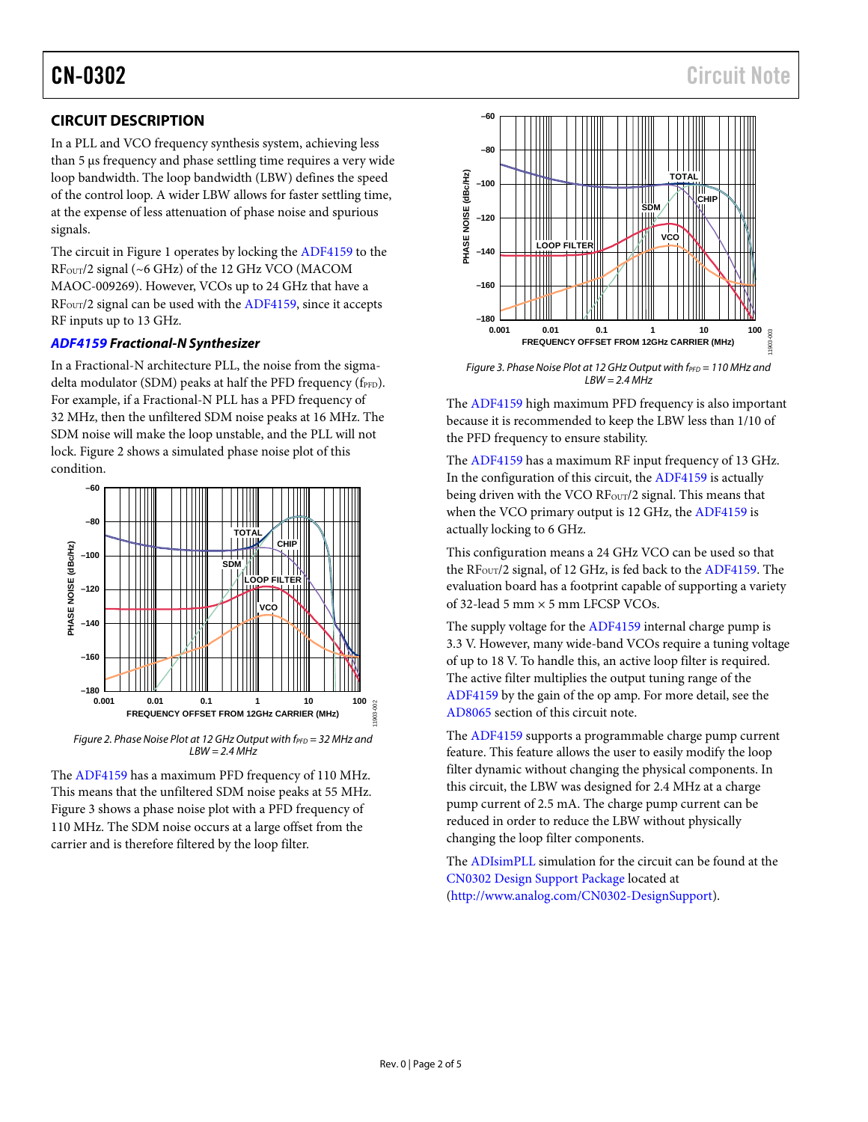# CN-0302 Circuit Note

## **CIRCUIT DESCRIPTION**

In a PLL and VCO frequency synthesis system, achieving less than 5 µs frequency and phase settling time requires a very wide loop bandwidth. The loop bandwidth (LBW) defines the speed of the control loop. A wider LBW allows for faster settling time, at the expense of less attenuation of phase noise and spurious signals.

The circuit i[n Figure 1](#page-0-0) operates by locking the [ADF4159](http://www.analog.com/ADF4159?doc=CN0302.pdf) to the RF<sub>OUT</sub>/2 signal (~6 GHz) of the 12 GHz VCO (MACOM MAOC-009269). However, VCOs up to 24 GHz that have a RF<sub>OUT</sub>/2 signal can be used with th[e ADF4159,](http://www.analog.com/ADF4159?doc=CN0302.pdf) since it accepts RF inputs up to 13 GHz.

#### *[ADF4159](http://www.analog.com/ADF4159?doc=CN0302.pdf) Fractional-N Synthesizer*

In a Fractional-N architecture PLL, the noise from the sigmadelta modulator (SDM) peaks at half the PFD frequency (fPFD). For example, if a Fractional-N PLL has a PFD frequency of 32 MHz, then the unfiltered SDM noise peaks at 16 MHz. The SDM noise will make the loop unstable, and the PLL will not lock. [Figure 2](#page-1-0) shows a simulated phase noise plot of this condition.



<span id="page-1-0"></span>*Figure 2. Phase Noise Plot at 12 GHz Output with f<sub>PFD</sub> = 32 MHz and LBW = 2.4 MHz*

The [ADF4159](http://www.analog.com/ADF4159?doc=CN0302.pdf) has a maximum PFD frequency of 110 MHz. This means that the unfiltered SDM noise peaks at 55 MHz. [Figure 3](#page-1-1) shows a phase noise plot with a PFD frequency of 110 MHz. The SDM noise occurs at a large offset from the carrier and is therefore filtered by the loop filter.



<span id="page-1-1"></span>*Figure 3. Phase Noise Plot at 12 GHz Output with f<sub>PFD</sub> = 110 MHz and LBW = 2.4 MHz*

The [ADF4159](http://www.analog.com/ADF4159?doc=CN0302.pdf) high maximum PFD frequency is also important because it is recommended to keep the LBW less than 1/10 of the PFD frequency to ensure stability.

The [ADF4159](http://www.analog.com/ADF4159?doc=CN0302.pdf) has a maximum RF input frequency of 13 GHz. In the configuration of this circuit, th[e ADF4159](http://www.analog.com/ADF4159?doc=CN0302.pdf) is actually being driven with the VCO RF<sub>OUT</sub>/2 signal. This means that when the VCO primary output is 12 GHz, the [ADF4159](http://www.analog.com/ADF4159?doc=CN0302.pdf) is actually locking to 6 GHz.

This configuration means a 24 GHz VCO can be used so that the RF<sub>OUT</sub>/2 signal, of 12 GHz, is fed back to th[e ADF4159.](http://www.analog.com/ADF4159?doc=CN0302.pdf) The evaluation board has a footprint capable of supporting a variety of 32-lead 5 mm × 5 mm LFCSP VCOs.

The supply voltage for th[e ADF4159](http://www.analog.com/ADF4159?doc=CN0302.pdf) internal charge pump is 3.3 V. However, many wide-band VCOs require a tuning voltage of up to 18 V. To handle this, an active loop filter is required. The active filter multiplies the output tuning range of the [ADF4159](http://www.analog.com/ADF4159?doc=CN0302.pdf) by the gain of the op amp. For more detail, see the [AD8065](http://www.analog.com/AD8065?doc=CN0302.pdf) section of this circuit note.

The [ADF4159](http://www.analog.com/ADF4159?doc=CN0302.pdf) supports a programmable charge pump current feature. This feature allows the user to easily modify the loop filter dynamic without changing the physical components. In this circuit, the LBW was designed for 2.4 MHz at a charge pump current of 2.5 mA. The charge pump current can be reduced in order to reduce the LBW without physically changing the loop filter components.

The [ADIsimPLL](http://www.analog.com/adisimpll?doc=CN0302.pdf) simulation for the circuit can be found at the [CN0302 Design Support Package](http://www.analog.com/CN0302-DesignSupport?doc=CN0302.pdf) located at [\(http://www.analog.com/CN0302-DesignSupport\)](http://www.analog.com/CN0302-DesignSupport?doc=CN0302.pdf).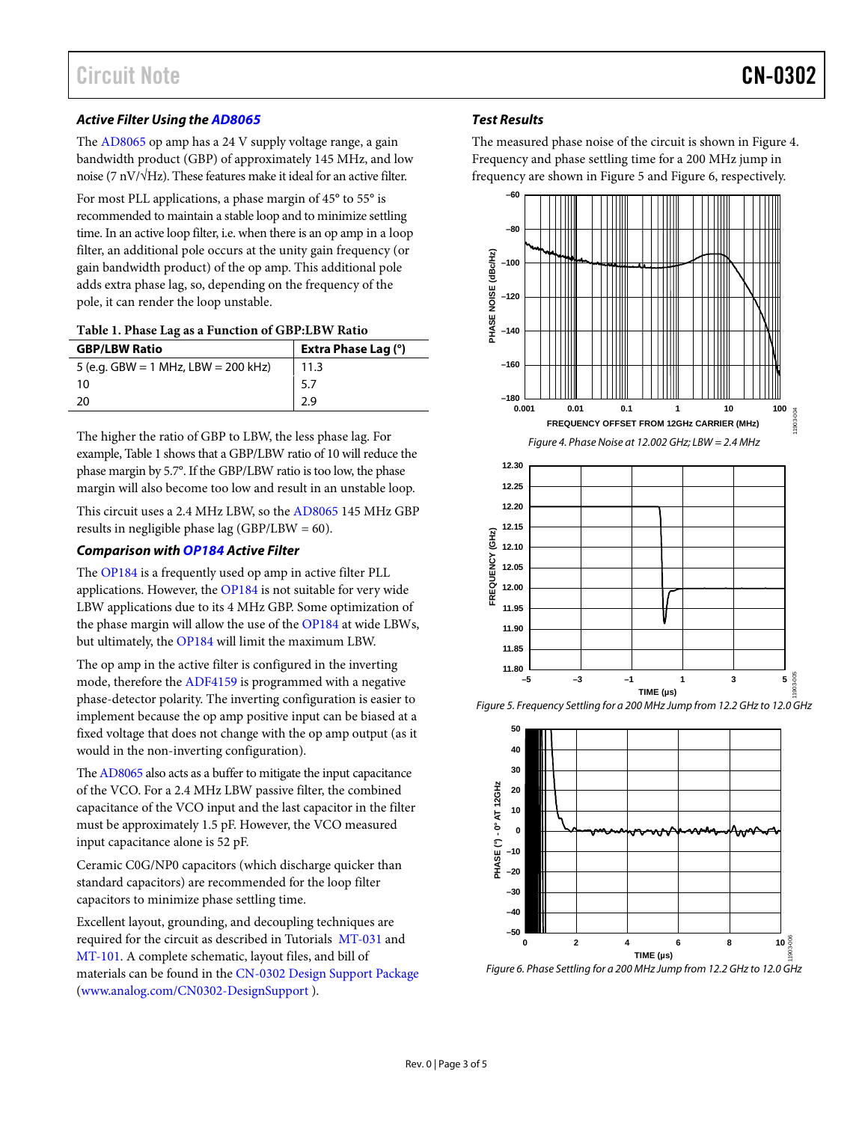#### *Active Filter Using th[e AD8065](http://www.analog.com/AD8065?doc=CN0302.pdf)*

The [AD8065](http://www.analog.com/AD8065?doc=CN0302.pdf) op amp has a 24 V supply voltage range, a gain bandwidth product (GBP) of approximately 145 MHz, and low noise (7 nV/√Hz). These features make it ideal for an active filter.

For most PLL applications, a phase margin of 45° to 55° is recommended to maintain a stable loop and to minimize settling time. In an active loop filter, i.e. when there is an op amp in a loop filter, an additional pole occurs at the unity gain frequency (or gain bandwidth product) of the op amp. This additional pole adds extra phase lag, so, depending on the frequency of the pole, it can render the loop unstable.

#### <span id="page-2-0"></span>**Table 1. Phase Lag as a Function of GBP:LBW Ratio**

| <b>GBP/LBW Ratio</b>                | <b>Extra Phase Lag (°)</b> |
|-------------------------------------|----------------------------|
| 5 (e.g. GBW = 1 MHz, LBW = 200 kHz) | 11.3                       |
| 10                                  | 5.7                        |
| -20                                 | 2.9                        |

The higher the ratio of GBP to LBW, the less phase lag. For example[, Table 1](#page-2-0) shows that a GBP/LBW ratio of 10 will reduce the phase margin by 5.7°. If the GBP/LBW ratio is too low, the phase margin will also become too low and result in an unstable loop.

This circuit uses a 2.4 MHz LBW, so the [AD8065](http://www.analog.com/AD8065?doc=CN0302.pdf) 145 MHz GBP results in negligible phase lag (GBP/LBW =  $60$ ).

#### *Comparison wit[h OP184](http://www.analog.com/OP184?doc=CN0302.pdf) Active Filter*

The [OP184](http://www.analog.com/OP184?doc=CN0302.pdf) is a frequently used op amp in active filter PLL applications. However, the [OP184](http://www.analog.com/OP184?doc=CN0302.pdf) is not suitable for very wide LBW applications due to its 4 MHz GBP. Some optimization of the phase margin will allow the use of the [OP184](http://www.analog.com/OP184?doc=CN0302.pdf) at wide LBWs, but ultimately, th[e OP184](http://www.analog.com/OP184?doc=CN0302.pdf) will limit the maximum LBW.

The op amp in the active filter is configured in the inverting mode, therefore th[e ADF4159](http://www.analog.com/ADF4159?doc=CN0302.pdf) is programmed with a negative phase-detector polarity. The inverting configuration is easier to implement because the op amp positive input can be biased at a fixed voltage that does not change with the op amp output (as it would in the non-inverting configuration).

Th[e AD8065](http://www.analog.com/AD8065?doc=CN0302.pdf) also acts as a buffer to mitigate the input capacitance of the VCO. For a 2.4 MHz LBW passive filter, the combined capacitance of the VCO input and the last capacitor in the filter must be approximately 1.5 pF. However, the VCO measured input capacitance alone is 52 pF.

Ceramic C0G/NP0 capacitors (which discharge quicker than standard capacitors) are recommended for the loop filter capacitors to minimize phase settling time.

Excellent layout, grounding, and decoupling techniques are required for the circuit as described in Tutorials [MT-031](http://www.analog.com/MT-031?doc=CN0302.pdf) and [MT-101.](http://www.analog.com/MT-101?doc=CN0302.pdf) A complete schematic, layout files, and bill of materials can be found in th[e CN-0302 Design Support Package](http://www.analog.com/CN0302-DesignSupport?doc=CN0302.pdf) [\(www.analog.com/CN0302-DesignSupport](http://www.analog.com/CN0302-DesignSupport?doc=CN0302.pdf) ).

#### *Test Results*

The measured phase noise of the circuit is shown in [Figure 4.](#page-2-1)  Frequency and phase settling time for a 200 MHz jump in frequency are shown i[n Figure 5](#page-2-2) an[d Figure 6,](#page-2-3) respectively.

<span id="page-2-1"></span>

<span id="page-2-2"></span>*Figure 5. Frequency Settling for a 200 MHz Jump from 12.2 GHz to 12.0 GHz* 



<span id="page-2-3"></span>*Figure 6. Phase Settling for a 200 MHz Jump from 12.2 GHz to 12.0 GHz*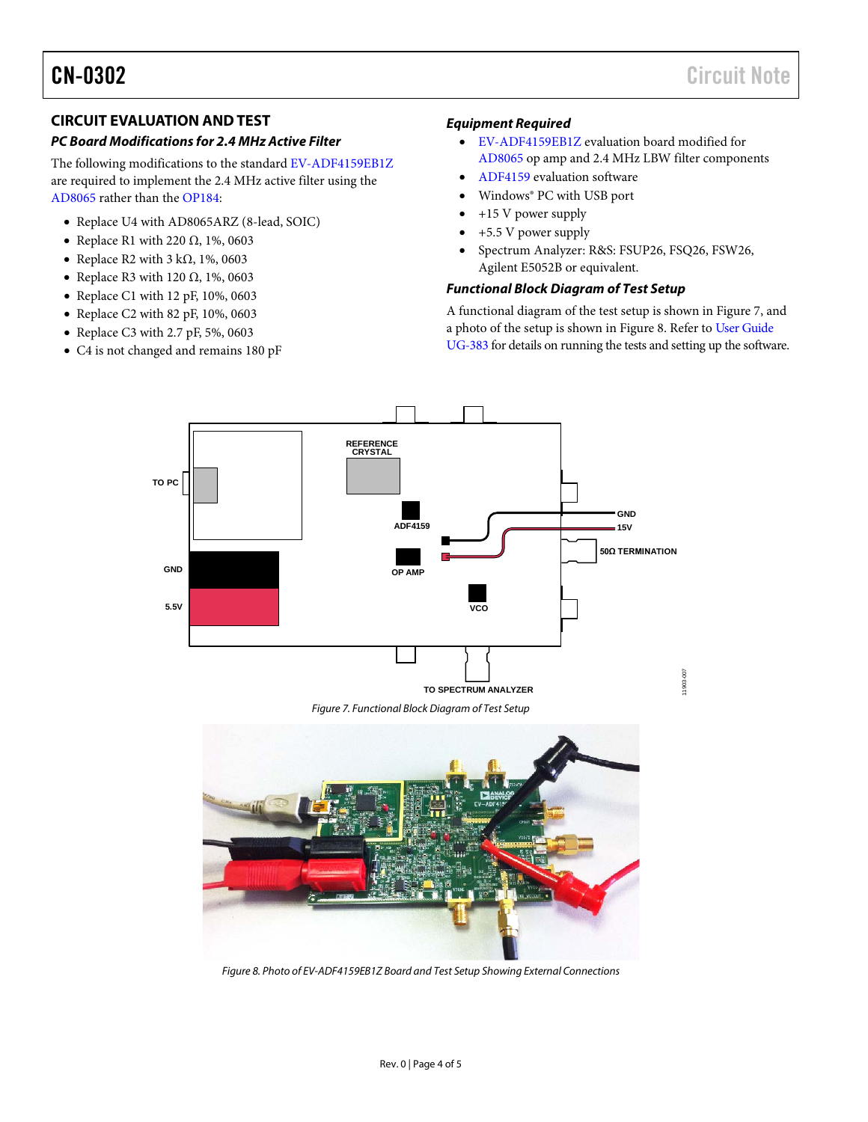## **CIRCUIT EVALUATION AND TEST**

#### *PC Board Modifications for 2.4 MHz Active Filter*

The following modifications to the standard [EV-ADF4159EB1Z](http://www.analog.com/EV-ADF4159EB1Z) are required to implement the 2.4 MHz active filter using the [AD8065](http://www.analog.com/AD8065?doc=CN0302.pdf) rather than the [OP184:](http://www.analog.com/OP184) 

- Replace U4 wit[h AD8065ARZ](http://www.analog.com/AD8065ARZ?doc=CN0302.pdf) (8-lead, SOIC)
- Replace R1 with 220  $\Omega$ , 1%, 0603
- Replace R2 with  $3 \text{ k}\Omega$ , 1%, 0603
- Replace R3 with 120  $\Omega$ , 1%, 0603
- Replace C1 with 12 pF, 10%, 0603
- Replace C2 with 82 pF, 10%, 0603
- Replace C3 with 2.7 pF, 5%, 0603
- C4 is not changed and remains 180 pF

#### *Equipment Required*

- [EV-ADF4159EB1Z](http://www.analog.com/EV-ADF4159EB1Z?doc=CN0302.pdf) evaluation board modified for [AD8065](http://www.analog.com/AD8065?doc=CN0302.pdf) op amp and 2.4 MHz LBW filter components
- [ADF4159](http://www.analog.com/adf4159) evaluation software
- Windows® PC with USB port
- +15 V power supply
- +5.5 V power supply
- Spectrum Analyzer: R&S: FSUP26, FSQ26, FSW26, Agilent E5052B or equivalent.

#### *Functional Block Diagram of Test Setup*

A functional diagram of the test setup is shown i[n Figure 7,](#page-3-0) and a photo of the setup is shown i[n Figure 8.](#page-3-1) Refer to [User Guide](http://www.analog.com/UG-383?doc=CN0302.pdf)  [UG-383](http://www.analog.com/UG-383?doc=CN0302.pdf) for details on running the tests and setting up the software.



<span id="page-3-1"></span><span id="page-3-0"></span>